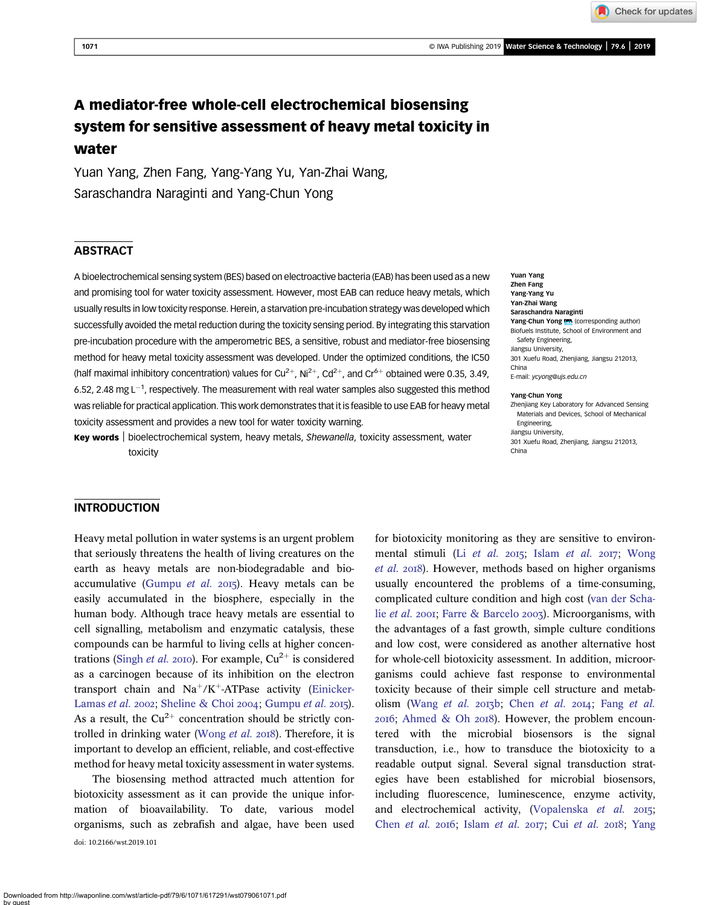1071 © IWA Publishing 2019 Water Science & Technology | 79.6 | 2019

Check for updates

# A mediator-free whole-cell electrochemical biosensing system for sensitive assessment of heavy metal toxicity in water

Yuan Yang, Zhen Fang, Yang-Yang Yu, Yan-Zhai Wang, Saraschandra Naraginti and Yang-Chun Yong

# **ABSTRACT**

A bioelectrochemical sensing system (BES) based on electroactive bacteria (EAB) has been used as a new and promising tool for water toxicity assessment. However, most EAB can reduce heavy metals, which usually results in low toxicity response. Herein, a starvation pre-incubation strategy was developed which successfully avoided the metal reduction during the toxicity sensing period. By integrating this starvation pre-incubation procedure with the amperometric BES, a sensitive, robust and mediator-free biosensing method for heavy metal toxicity assessment was developed. Under the optimized conditions, the IC50 (half maximal inhibitory concentration) values for Cu<sup>2+</sup>, Ni<sup>2+</sup>, Cd<sup>2+</sup>, and Cr<sup>6+</sup> obtained were 0.35, 3.49, 6.52, 2.48 mg L<sup>-1</sup>, respectively. The measurement with real water samples also suggested this method was reliable for practical application. This work demonstrates that it is feasible to use EAB for heavy metal toxicity assessment and provides a new tool for water toxicity warning.

Key words | bioelectrochemical system, heavy metals, Shewanella, toxicity assessment, water toxicity

Yuan Yang Zhen Fang Yang-Yang Yu Yan-Zhai Wang Saraschandra Naraginti Yang-Chun Yong (corresponding author) Biofuels Institute, School of Environment and Safety Engineering, Jiangsu University, 301 Xuefu Road, Zhenjiang, Jiangsu 212013, China E-mail: [ycyong@ujs.edu.cn](mailto:ycyong@ujs.edu.cn)

#### Yang-Chun Yong

Zhenjiang Key Laboratory for Advanced Sensing Materials and Devices, School of Mechanical Engineering, Jiangsu University, 301 Xuefu Road, Zhenjiang, Jiangsu 212013, China

# **INTRODUCTION**

Heavy metal pollution in water systems is an urgent problem that seriously threatens the health of living creatures on the earth as heavy metals are non-biodegradable and bio-accumulative ([Gumpu](#page-8-0) et al.  $2015$ ). Heavy metals can be easily accumulated in the biosphere, especially in the human body. Although trace heavy metals are essential to cell signalling, metabolism and enzymatic catalysis, these compounds can be harmful to living cells at higher concen-trations ([Singh](#page-8-0) et al. 2010). For example,  $Cu^{2+}$  is considered as a carcinogen because of its inhibition on the electron transport chain and  $Na^+/K^+$ -ATPase activity [\(Einicker-](#page-7-0)[Lamas](#page-7-0) et al. 2002; [Sheline & Choi](#page-8-0) 2004; [Gumpu](#page-8-0) et al. 2015). As a result, the  $Cu^{2+}$  concentration should be strictly con-trolled in drinking water ([Wong](#page-8-0) et al. 2018). Therefore, it is important to develop an efficient, reliable, and cost-effective method for heavy metal toxicity assessment in water systems.

The biosensing method attracted much attention for biotoxicity assessment as it can provide the unique information of bioavailability. To date, various model organisms, such as zebrafish and algae, have been used doi: 10.2166/wst.2019.101

for biotoxicity monitoring as they are sensitive to environmental stimuli (Li [et al.](#page-8-0) 2015; Islam et al. 2017; [Wong](#page-8-0) [et al.](#page-8-0) 2018). However, methods based on higher organisms usually encountered the problems of a time-consuming, complicated culture condition and high cost [\(van der Scha](#page-8-0)lie [et al.](#page-8-0) 2001; [Farre & Barcelo](#page-7-0) 2003). Microorganisms, with the advantages of a fast growth, simple culture conditions and low cost, were considered as another alternative host for whole-cell biotoxicity assessment. In addition, microorganisms could achieve fast response to environmental toxicity because of their simple cell structure and metab-olism [\(Wang](#page-8-0) [et al.](#page-7-0) 2013b; Chen et al. 2014; Fang et al.  $2016$ ; [Ahmed & Oh](#page-7-0)  $2018$ ). However, the problem encountered with the microbial biosensors is the signal transduction, i.e., how to transduce the biotoxicity to a readable output signal. Several signal transduction strategies have been established for microbial biosensors, including fluorescence, luminescence, enzyme activity, and electrochemical activity, [\(Vopalenska](#page-8-0)  $et$   $al.$   $2015$ ; [Chen](#page-7-0) et al. 2016; [Islam](#page-8-0) [et al.](#page-7-0) 2017; Cui et al. 2018; [Yang](#page-8-0)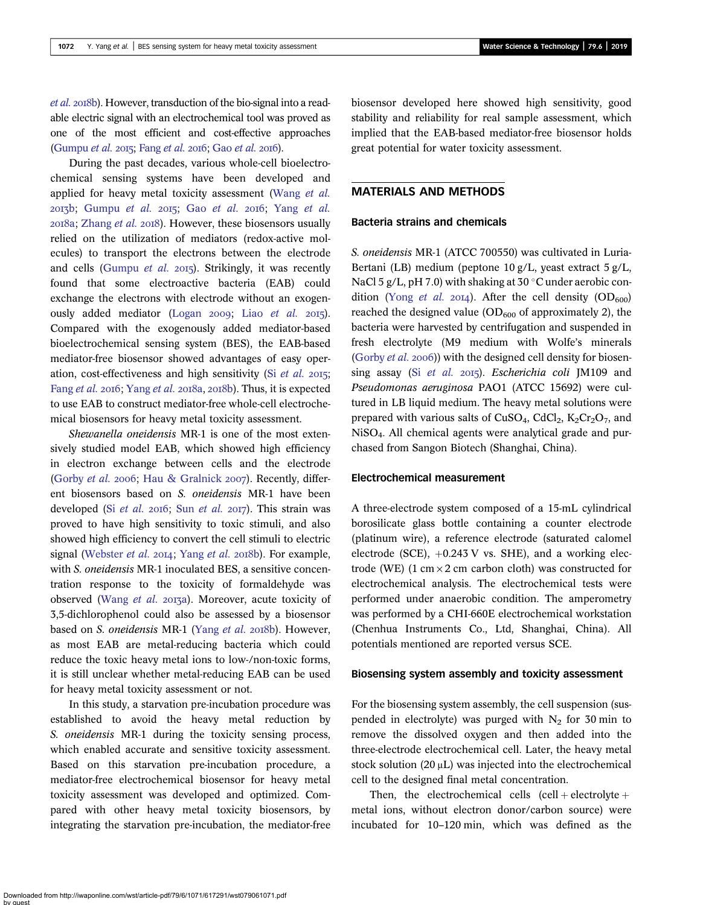[et al.](#page-8-0) 2018b). However, transduction of the bio-signal into a readable electric signal with an electrochemical tool was proved as one of the most efficient and cost-effective approaches [\(Gumpu](#page-8-0) et al. 2015; [Fang](#page-7-0) [et al.](#page-7-0) 2016; Gao et al. 2016).

During the past decades, various whole-cell bioelectrochemical sensing systems have been developed and applied for heavy metal toxicity assessment ([Wang](#page-8-0) et al.  $2017b$ ; [Gumpu](#page-8-0) [et al.](#page-8-0)  $2015$ ; Gao et al.  $2016$ ; Yang et al.  $2018a$ ; [Zhang](#page-9-0) *et al.*  $2018$ ). However, these biosensors usually relied on the utilization of mediators (redox-active molecules) to transport the electrons between the electrode and cells ([Gumpu](#page-8-0) et al.  $2015$ ). Strikingly, it was recently found that some electroactive bacteria (EAB) could exchange the electrons with electrode without an exogen-ously added mediator [\(Logan](#page-8-0) 2009; Liao [et al.](#page-8-0) 2015). Compared with the exogenously added mediator-based bioelectrochemical sensing system (BES), the EAB-based mediator-free biosensor showed advantages of easy operation, cost-effectiveness and high sensitivity (Si  $et$  al. 2015; [Fang](#page-7-0) et al. 2016; [Yang](#page-8-0) et al. 2018a, 2018b). Thus, it is expected to use EAB to construct mediator-free whole-cell electrochemical biosensors for heavy metal toxicity assessment.

Shewanella oneidensis MR-1 is one of the most extensively studied model EAB, which showed high efficiency in electron exchange between cells and the electrode ([Gorby](#page-8-0) et al. 2006; [Hau & Gralnick](#page-8-0) 2007). Recently, different biosensors based on S. oneidensis MR-1 have been developed (Si [et al.](#page-8-0) 2016; Sun et al. 2017). This strain was proved to have high sensitivity to toxic stimuli, and also showed high efficiency to convert the cell stimuli to electric signal [\(Webster](#page-8-0) et al.  $2014$ ; [Yang](#page-8-0) et al.  $2018b$ ). For example, with S. oneidensis MR-1 inoculated BES, a sensitive concentration response to the toxicity of formaldehyde was observed ([Wang](#page-8-0) et al. 2013a). Moreover, acute toxicity of 3,5-dichlorophenol could also be assessed by a biosensor based on S. oneidensis MR-1 [\(Yang](#page-8-0) et al. 2018b). However, as most EAB are metal-reducing bacteria which could reduce the toxic heavy metal ions to low-/non-toxic forms, it is still unclear whether metal-reducing EAB can be used for heavy metal toxicity assessment or not.

In this study, a starvation pre-incubation procedure was established to avoid the heavy metal reduction by S. oneidensis MR-1 during the toxicity sensing process, which enabled accurate and sensitive toxicity assessment. Based on this starvation pre-incubation procedure, a mediator-free electrochemical biosensor for heavy metal toxicity assessment was developed and optimized. Compared with other heavy metal toxicity biosensors, by integrating the starvation pre-incubation, the mediator-free biosensor developed here showed high sensitivity, good stability and reliability for real sample assessment, which implied that the EAB-based mediator-free biosensor holds great potential for water toxicity assessment.

# MATERIALS AND METHODS

#### Bacteria strains and chemicals

S. oneidensis MR-1 (ATCC 700550) was cultivated in Luria-Bertani (LB) medium (peptone 10 g/L, yeast extract 5 g/L, NaCl 5 g/L, pH 7.0) with shaking at 30  $\degree$ C under aerobic condition (Yong *[et al.](#page-8-0)* 2014). After the cell density (OD<sub>600</sub>) reached the designed value  $(OD_{600}$  of approximately 2), the bacteria were harvested by centrifugation and suspended in fresh electrolyte (M9 medium with Wolfe's minerals ([Gorby](#page-8-0) *et al.* 2006)) with the designed cell density for biosensing assay (Si [et al.](#page-8-0)  $2015$ ). Escherichia coli JM109 and Pseudomonas aeruginosa PAO1 (ATCC 15692) were cultured in LB liquid medium. The heavy metal solutions were prepared with various salts of CuSO<sub>4</sub>, CdCl<sub>2</sub>, K<sub>2</sub>Cr<sub>2</sub>O<sub>7</sub>, and NiSO4. All chemical agents were analytical grade and purchased from Sangon Biotech (Shanghai, China).

#### Electrochemical measurement

A three-electrode system composed of a 15-mL cylindrical borosilicate glass bottle containing a counter electrode (platinum wire), a reference electrode (saturated calomel electrode (SCE),  $+0.243$  V vs. SHE), and a working electrode (WE)  $(1 \text{ cm} \times 2 \text{ cm} \text{ carbon cloth})$  was constructed for electrochemical analysis. The electrochemical tests were performed under anaerobic condition. The amperometry was performed by a CHI-660E electrochemical workstation (Chenhua Instruments Co., Ltd, Shanghai, China). All potentials mentioned are reported versus SCE.

#### Biosensing system assembly and toxicity assessment

For the biosensing system assembly, the cell suspension (suspended in electrolyte) was purged with  $N_2$  for 30 min to remove the dissolved oxygen and then added into the three-electrode electrochemical cell. Later, the heavy metal stock solution (20 μL) was injected into the electrochemical cell to the designed final metal concentration.

Then, the electrochemical cells  $(cell + electrolyte +$ metal ions, without electron donor/carbon source) were incubated for 10–120 min, which was defined as the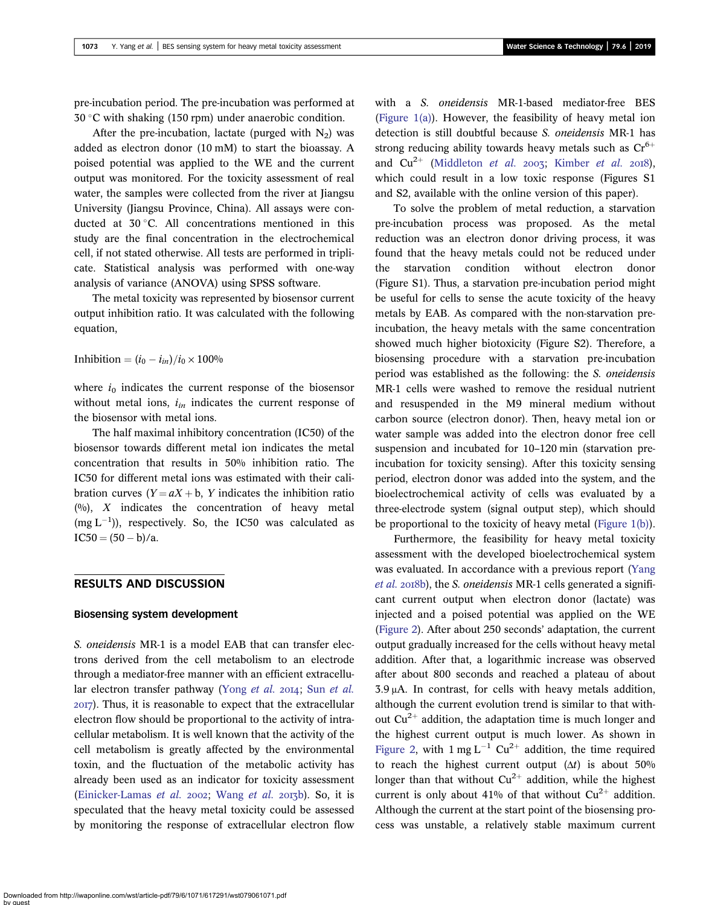pre-incubation period. The pre-incubation was performed at  $30^{\circ}$ C with shaking (150 rpm) under anaerobic condition.

After the pre-incubation, lactate (purged with  $N_2$ ) was added as electron donor (10 mM) to start the bioassay. A poised potential was applied to the WE and the current output was monitored. For the toxicity assessment of real water, the samples were collected from the river at Jiangsu University (Jiangsu Province, China). All assays were conducted at 30 °C. All concentrations mentioned in this study are the final concentration in the electrochemical cell, if not stated otherwise. All tests are performed in triplicate. Statistical analysis was performed with one-way analysis of variance (ANOVA) using SPSS software.

The metal toxicity was represented by biosensor current output inhibition ratio. It was calculated with the following equation,

Inhibition =  $(i_0 - i_{in})/i_0 \times 100\%$ 

where  $i_0$  indicates the current response of the biosensor without metal ions,  $i_{in}$  indicates the current response of the biosensor with metal ions.

The half maximal inhibitory concentration (IC50) of the biosensor towards different metal ion indicates the metal concentration that results in 50% inhibition ratio. The IC50 for different metal ions was estimated with their calibration curves  $(Y = aX + b, Y)$  indicates the inhibition ratio  $(%)$ , X indicates the concentration of heavy metal  $(mg L^{-1})$ ), respectively. So, the IC50 was calculated as  $IC50 = (50 - b)/a.$ 

# RESULTS AND DISCUSSION

#### Biosensing system development

S. oneidensis MR-1 is a model EAB that can transfer electrons derived from the cell metabolism to an electrode through a mediator-free manner with an efficient extracellu-lar electron transfer pathway ([Yong](#page-8-0) [et al.](#page-8-0) 2014; Sun et al. ). Thus, it is reasonable to expect that the extracellular electron flow should be proportional to the activity of intracellular metabolism. It is well known that the activity of the cell metabolism is greatly affected by the environmental toxin, and the fluctuation of the metabolic activity has already been used as an indicator for toxicity assessment [\(Einicker-Lamas](#page-7-0) et al. 2002; [Wang](#page-8-0) et al. 2013b). So, it is speculated that the heavy metal toxicity could be assessed by monitoring the response of extracellular electron flow with a S. oneidensis MR-1-based mediator-free BES [\(Figure 1\(a\)\)](#page-3-0). However, the feasibility of heavy metal ion detection is still doubtful because S. oneidensis MR-1 has strong reducing ability towards heavy metals such as  $Cr^{6+}$ and  $Cu^{2+}$  ([Middleton](#page-8-0) et al. 2003; [Kimber](#page-8-0) et al. 2018), which could result in a low toxic response (Figures S1 and S2, available with the online version of this paper).

To solve the problem of metal reduction, a starvation pre-incubation process was proposed. As the metal reduction was an electron donor driving process, it was found that the heavy metals could not be reduced under the starvation condition without electron donor (Figure S1). Thus, a starvation pre-incubation period might be useful for cells to sense the acute toxicity of the heavy metals by EAB. As compared with the non-starvation preincubation, the heavy metals with the same concentration showed much higher biotoxicity (Figure S2). Therefore, a biosensing procedure with a starvation pre-incubation period was established as the following: the S. oneidensis MR-1 cells were washed to remove the residual nutrient and resuspended in the M9 mineral medium without carbon source (electron donor). Then, heavy metal ion or water sample was added into the electron donor free cell suspension and incubated for 10–120 min (starvation preincubation for toxicity sensing). After this toxicity sensing period, electron donor was added into the system, and the bioelectrochemical activity of cells was evaluated by a three-electrode system (signal output step), which should be proportional to the toxicity of heavy metal ([Figure 1\(b\)\)](#page-3-0).

Furthermore, the feasibility for heavy metal toxicity assessment with the developed bioelectrochemical system was evaluated. In accordance with a previous report [\(Yang](#page-8-0) [et al.](#page-8-0) 2018b), the S. oneidensis MR-1 cells generated a significant current output when electron donor (lactate) was injected and a poised potential was applied on the WE [\(Figure 2\)](#page-3-0). After about 250 seconds' adaptation, the current output gradually increased for the cells without heavy metal addition. After that, a logarithmic increase was observed after about 800 seconds and reached a plateau of about 3.9 μA. In contrast, for cells with heavy metals addition, although the current evolution trend is similar to that without  $Cu^{2+}$  addition, the adaptation time is much longer and the highest current output is much lower. As shown in [Figure 2,](#page-3-0) with  $1 \text{ mg } L^{-1}$  Cu<sup>2+</sup> addition, the time required to reach the highest current output  $(\Delta t)$  is about 50% longer than that without  $Cu^{2+}$  addition, while the highest current is only about 41% of that without  $Cu^{2+}$  addition. Although the current at the start point of the biosensing process was unstable, a relatively stable maximum current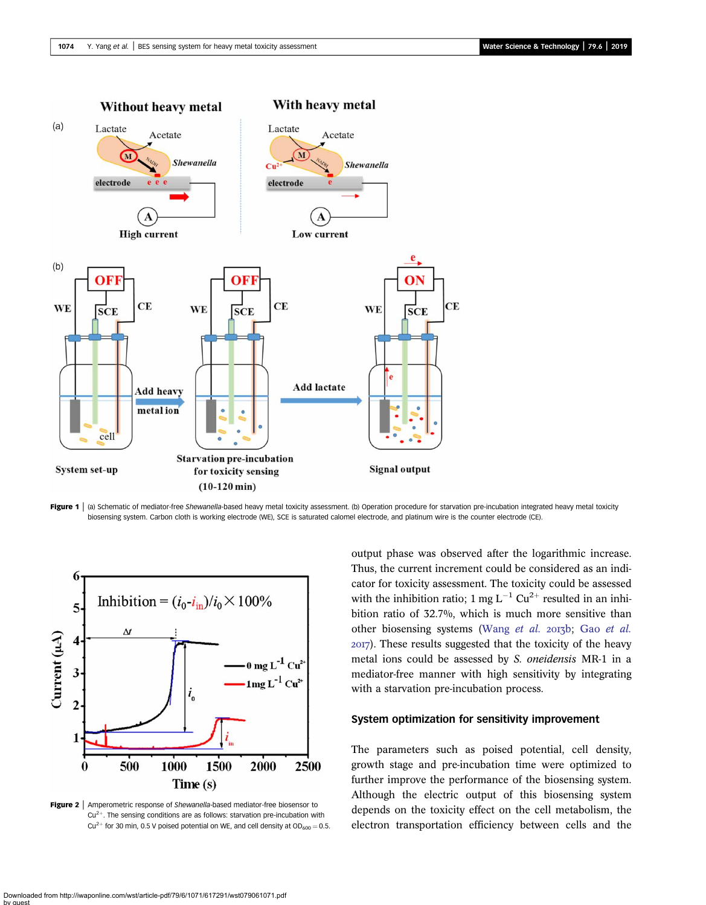<span id="page-3-0"></span>

Figure 1 (a) Schematic of mediator-free Shewanella-based heavy metal toxicity assessment. (b) Operation procedure for starvation pre-incubation integrated heavy metal toxicity biosensing system. Carbon cloth is working electrode (WE), SCE is saturated calomel electrode, and platinum wire is the counter electrode (CE).



Figure 2 | Amperometric response of Shewanella-based mediator-free biosensor to  $Cu<sup>2+</sup>$ . The sensing conditions are as follows: starvation pre-incubation with Cu<sup>2+</sup> for 30 min, 0.5 V poised potential on WE, and cell density at  $OD_{600} = 0.5$ .

output phase was observed after the logarithmic increase. Thus, the current increment could be considered as an indicator for toxicity assessment. The toxicity could be assessed with the inhibition ratio; 1 mg  $L^{-1}$  Cu<sup>2+</sup> resulted in an inhibition ratio of 32.7%, which is much more sensitive than other biosensing systems [\(Wang](#page-8-0) [et al.](#page-8-0) 2013b; Gao et al. ). These results suggested that the toxicity of the heavy metal ions could be assessed by S. oneidensis MR-1 in a mediator-free manner with high sensitivity by integrating with a starvation pre-incubation process.

# System optimization for sensitivity improvement

The parameters such as poised potential, cell density, growth stage and pre-incubation time were optimized to further improve the performance of the biosensing system. Although the electric output of this biosensing system depends on the toxicity effect on the cell metabolism, the electron transportation efficiency between cells and the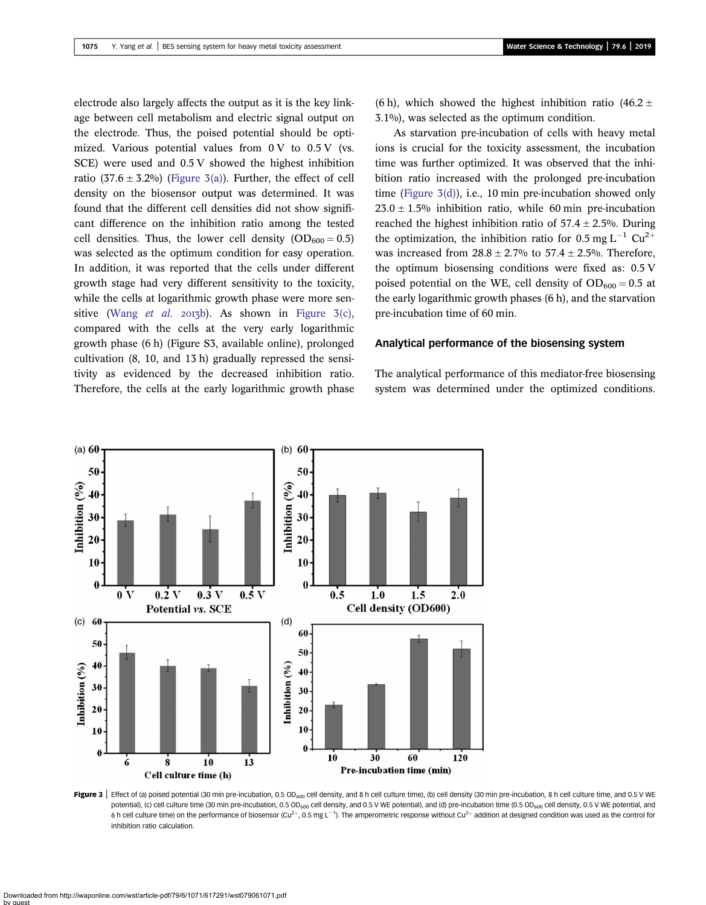electrode also largely affects the output as it is the key linkage between cell metabolism and electric signal output on the electrode. Thus, the poised potential should be optimized. Various potential values from  $0 \, \text{V}$  to  $0.5 \, \text{V}$  (vs. SCE) were used and 0.5 V showed the highest inhibition ratio (37.6  $\pm$  3.2%) (Figure 3(a)). Further, the effect of cell density on the biosensor output was determined. It was found that the different cell densities did not show significant difference on the inhibition ratio among the tested cell densities. Thus, the lower cell density  $(OD_{600} = 0.5)$ was selected as the optimum condition for easy operation. In addition, it was reported that the cells under different growth stage had very different sensitivity to the toxicity, while the cells at logarithmic growth phase were more sen-sitive ([Wang](#page-8-0) et al. 2013b). As shown in Figure 3(c), compared with the cells at the very early logarithmic growth phase (6 h) (Figure S3, available online), prolonged cultivation (8, 10, and 13 h) gradually repressed the sensitivity as evidenced by the decreased inhibition ratio. Therefore, the cells at the early logarithmic growth phase (6 h), which showed the highest inhibition ratio (46.2  $\pm$ 3.1%), was selected as the optimum condition.

As starvation pre-incubation of cells with heavy metal ions is crucial for the toxicity assessment, the incubation time was further optimized. It was observed that the inhibition ratio increased with the prolonged pre-incubation time (Figure 3(d)), i.e., 10 min pre-incubation showed only  $23.0 \pm 1.5\%$  inhibition ratio, while 60 min pre-incubation reached the highest inhibition ratio of  $57.4 \pm 2.5$ %. During the optimization, the inhibition ratio for 0.5 mg  $L^{-1}$  Cu<sup>2+</sup> was increased from  $28.8 \pm 2.7\%$  to  $57.4 \pm 2.5\%$ . Therefore, the optimum biosensing conditions were fixed as: 0.5 V poised potential on the WE, cell density of  $OD_{600} = 0.5$  at the early logarithmic growth phases (6 h), and the starvation pre-incubation time of 60 min.

#### Analytical performance of the biosensing system

The analytical performance of this mediator-free biosensing system was determined under the optimized conditions.



Figure 3 | Effect of (a) poised potential (30 min pre-incubation, 0.5 OD<sub>600</sub> cell density, and 8 h cell culture time), (b) cell density (30 min pre-incubation, 8 h cell culture time, and 0.5 V WE potential), (c) cell culture time (30 min pre-incubation, 0.5 OD<sub>600</sub> cell density, and 0.5 V WE potential), and (d) pre-incubation time (0.5 OD<sub>600</sub> cell density, 0.5 V WE potential, and 6 h cell culture time) on the performance of biosensor (Cu<sup>2+</sup>, 0.5 mg L<sup>-1</sup>). The amperometric response without Cu<sup>2+</sup> addition at designed condition was used as the control for inhibition ratio calculation.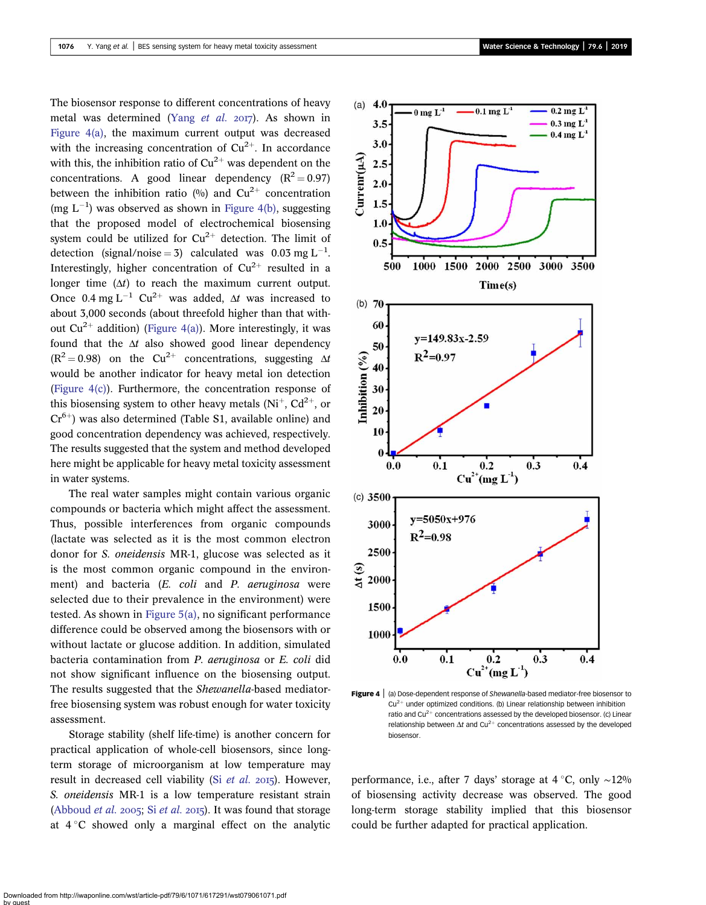The biosensor response to different concentrations of heavy metal was determined (Yang [et al.](#page-8-0)  $20I7$ ). As shown in Figure  $4(a)$ , the maximum current output was decreased with the increasing concentration of  $Cu^{2+}$ . In accordance with this, the inhibition ratio of  $Cu^{2+}$  was dependent on the concentrations. A good linear dependency  $(R^2 = 0.97)$ between the inhibition ratio  $\left(\frac{0}{0}\right)$  and  $\text{Cu}^{2+}$  concentration (mg  $L^{-1}$ ) was observed as shown in Figure 4(b), suggesting that the proposed model of electrochemical biosensing system could be utilized for  $Cu^{2+}$  detection. The limit of detection (signal/noise = 3) calculated was 0.03 mg L<sup>-1</sup>. Interestingly, higher concentration of  $Cu^{2+}$  resulted in a longer time  $(\Delta t)$  to reach the maximum current output. Once 0.4 mg L<sup>-1</sup> Cu<sup>2+</sup> was added,  $\Delta t$  was increased to about 3,000 seconds (about threefold higher than that without  $Cu^{2+}$  addition) (Figure 4(a)). More interestingly, it was found that the  $\Delta t$  also showed good linear dependency  $(R^2 = 0.98)$  on the Cu<sup>2+</sup> concentrations, suggesting  $\Delta t$ would be another indicator for heavy metal ion detection (Figure 4(c)). Furthermore, the concentration response of this biosensing system to other heavy metals  $(Ni^{+}, Cd^{2+}, or$  $Cr^{6+}$ ) was also determined (Table S1, available online) and good concentration dependency was achieved, respectively. The results suggested that the system and method developed here might be applicable for heavy metal toxicity assessment in water systems.

The real water samples might contain various organic compounds or bacteria which might affect the assessment. Thus, possible interferences from organic compounds (lactate was selected as it is the most common electron donor for S. oneidensis MR-1, glucose was selected as it is the most common organic compound in the environment) and bacteria (E. coli and P. aeruginosa were selected due to their prevalence in the environment) were tested. As shown in [Figure 5\(a\)](#page-6-0), no significant performance difference could be observed among the biosensors with or without lactate or glucose addition. In addition, simulated bacteria contamination from P. aeruginosa or E. coli did not show significant influence on the biosensing output. The results suggested that the Shewanella-based mediatorfree biosensing system was robust enough for water toxicity assessment.

Storage stability (shelf life-time) is another concern for practical application of whole-cell biosensors, since longterm storage of microorganism at low temperature may result in decreased cell viability (Si [et al.](#page-8-0) 2015). However, S. oneidensis MR-1 is a low temperature resistant strain ([Abboud](#page-7-0) *[et al.](#page-8-0)* 2005; Si *et al.* 2015). It was found that storage at  $4^{\circ}$ C showed only a marginal effect on the analytic



Figure 4 | (a) Dose-dependent response of Shewanella-based mediator-free biosensor to  $Cu<sup>2+</sup>$  under optimized conditions. (b) Linear relationship between inhibition ratio and  $Cu^{2+}$  concentrations assessed by the developed biosensor. (c) Linear relationship between  $\Delta t$  and Cu<sup>2+</sup> concentrations assessed by the developed biosensor.

performance, i.e., after 7 days' storage at 4 °C, only ∼12% of biosensing activity decrease was observed. The good long-term storage stability implied that this biosensor could be further adapted for practical application.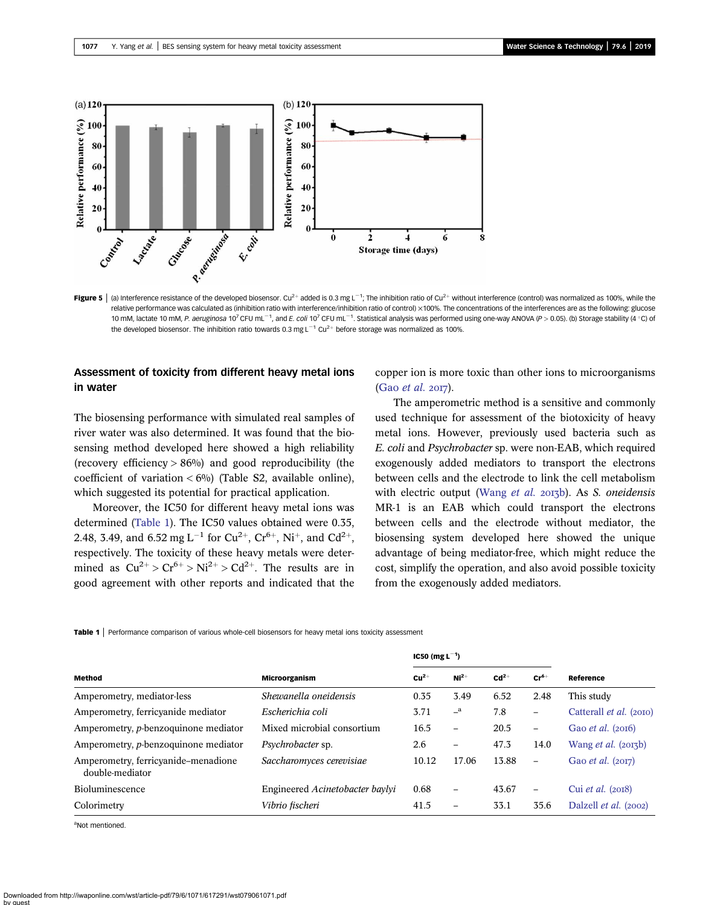<span id="page-6-0"></span>

**Figure 5**  $|$  (a) Interference resistance of the developed biosensor. Cu<sup>2+</sup> added is 0.3 mg L<sup>-1</sup>; The inhibition ratio of Cu<sup>2+</sup> without interference (control) was normalized as 100%, while the relative performance was calculated as (inhibition ratio with interference/inhibition ratio of control) ×100%. The concentrations of the interferences are as the following: glucose 10 mM, lactate 10 mM, P. aeruginosa 10<sup>7</sup> CFU mL<sup>-1</sup>, and E. coli 10<sup>7</sup> CFU mL<sup>-1</sup>. Statistical analysis was performed using one-way ANOVA (P > 0.05). (b) Storage stability (4 °C) of the developed biosensor. The inhibition ratio towards 0.3 mg  $L^{-1}$  Cu<sup>2+</sup> before storage was normalized as 100%.

# Assessment of toxicity from different heavy metal ions in water

The biosensing performance with simulated real samples of river water was also determined. It was found that the biosensing method developed here showed a high reliability (recovery efficiency  $> 86\%$ ) and good reproducibility (the coefficient of variation  $< 6\%$ ) (Table S2, available online), which suggested its potential for practical application.

Moreover, the IC50 for different heavy metal ions was determined (Table 1). The IC50 values obtained were 0.35, 2.48, 3.49, and 6.52 mg L<sup>-1</sup> for Cu<sup>2+</sup>, Cr<sup>6+</sup>, Ni<sup>+</sup>, and Cd<sup>2+</sup>, respectively. The toxicity of these heavy metals were determined as  $Cu^{2+} > Cr^{6+} > Ni^{2+} > Cd^{2+}$ . The results are in good agreement with other reports and indicated that the copper ion is more toxic than other ions to microorganisms (Gao [et al.](#page-8-0) 2017).

The amperometric method is a sensitive and commonly used technique for assessment of the biotoxicity of heavy metal ions. However, previously used bacteria such as E. coli and Psychrobacter sp. were non-EAB, which required exogenously added mediators to transport the electrons between cells and the electrode to link the cell metabolism with electric output ([Wang](#page-8-0) et al. 2013b). As S. oneidensis MR-1 is an EAB which could transport the electrons between cells and the electrode without mediator, the biosensing system developed here showed the unique advantage of being mediator-free, which might reduce the cost, simplify the operation, and also avoid possible toxicity from the exogenously added mediators.

Table 1 | Performance comparison of various whole-cell biosensors for heavy metal ions toxicity assessment

| Method                                                 | <b>Microorganism</b>            | $IC50$ (mg L <sup>-1</sup> ) |                          |        |                          |                              |
|--------------------------------------------------------|---------------------------------|------------------------------|--------------------------|--------|--------------------------|------------------------------|
|                                                        |                                 | $Cu2+$                       | $Ni2+$                   | $Cd2+$ | $Cr^{6+}$                | Reference                    |
| Amperometry, mediator-less                             | Shewanella oneidensis           | 0.35                         | 3.49                     | 6.52   | 2.48                     | This study                   |
| Amperometry, ferricyanide mediator                     | Escherichia coli                | 3.71                         | $\mathbf{a}$             | 7.8    | $\overline{\phantom{0}}$ | Catterall et al. (2010)      |
| Amperometry, p-benzoquinone mediator                   | Mixed microbial consortium      | 16.5                         | $\overline{\phantom{0}}$ | 20.5   | $\qquad \qquad -$        | Gao <i>et al.</i> $(2016)$   |
| Amperometry, <i>p</i> -benzoquinone mediator           | <i>Psychrobacter sp.</i>        | 2.6                          | $\overline{\phantom{0}}$ | 47.3   | 14.0                     | Wang <i>et al.</i> $(2013b)$ |
| Amperometry, ferricyanide–menadione<br>double-mediator | Saccharomyces cerevisiae        | 10.12                        | 17.06                    | 13.88  | $\overline{\phantom{0}}$ | Gao <i>et al.</i> $(2017)$   |
| <b>Bioluminescence</b>                                 | Engineered Acinetobacter baylyi | 0.68                         | $\overline{\phantom{0}}$ | 43.67  | $\overline{\phantom{0}}$ | Cui <i>et al.</i> (2018)     |
| Colorimetry                                            | Vibrio fischeri                 | 41.5                         |                          | 33.1   | 35.6                     | Dalzell et al. (2002)        |

aNot mentioned.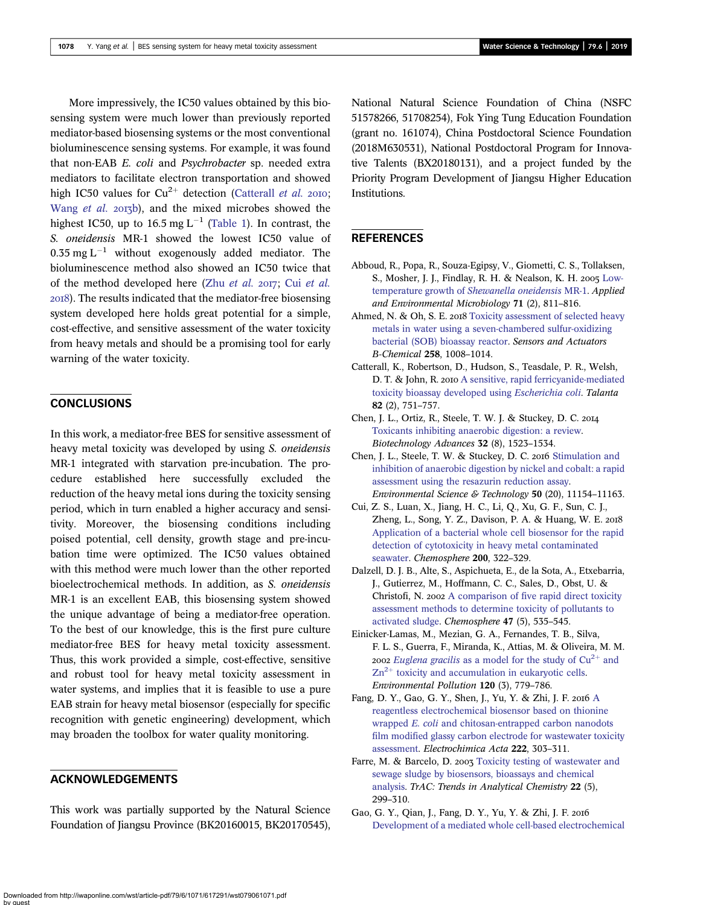<span id="page-7-0"></span>More impressively, the IC50 values obtained by this biosensing system were much lower than previously reported mediator-based biosensing systems or the most conventional bioluminescence sensing systems. For example, it was found that non-EAB E. coli and Psychrobacter sp. needed extra mediators to facilitate electron transportation and showed high IC50 values for  $Cu^{2+}$  detection (Catterall *et al.* 2010; [Wang](#page-8-0) et al. 2013b), and the mixed microbes showed the highest IC50, up to  $16.5 \text{ mg L}^{-1}$  [\(Table 1](#page-6-0)). In contrast, the S. oneidensis MR-1 showed the lowest IC50 value of 0.35 mg  $L^{-1}$  without exogenously added mediator. The bioluminescence method also showed an IC50 twice that of the method developed here (Zhu [et al.](#page-9-0) 2017; Cui et al. ). The results indicated that the mediator-free biosensing system developed here holds great potential for a simple, cost-effective, and sensitive assessment of the water toxicity from heavy metals and should be a promising tool for early warning of the water toxicity.

# **CONCLUSIONS**

In this work, a mediator-free BES for sensitive assessment of heavy metal toxicity was developed by using S. *oneidensis* MR-1 integrated with starvation pre-incubation. The procedure established here successfully excluded the reduction of the heavy metal ions during the toxicity sensing period, which in turn enabled a higher accuracy and sensitivity. Moreover, the biosensing conditions including poised potential, cell density, growth stage and pre-incubation time were optimized. The IC50 values obtained with this method were much lower than the other reported bioelectrochemical methods. In addition, as S. oneidensis MR-1 is an excellent EAB, this biosensing system showed the unique advantage of being a mediator-free operation. To the best of our knowledge, this is the first pure culture mediator-free BES for heavy metal toxicity assessment. Thus, this work provided a simple, cost-effective, sensitive and robust tool for heavy metal toxicity assessment in water systems, and implies that it is feasible to use a pure EAB strain for heavy metal biosensor (especially for specific recognition with genetic engineering) development, which may broaden the toolbox for water quality monitoring.

### ACKNOWLEDGEMENTS

This work was partially supported by the Natural Science Foundation of Jiangsu Province (BK20160015, BK20170545), National Natural Science Foundation of China (NSFC 51578266, 51708254), Fok Ying Tung Education Foundation (grant no. 161074), China Postdoctoral Science Foundation (2018M630531), National Postdoctoral Program for Innovative Talents (BX20180131), and a project funded by the Priority Program Development of Jiangsu Higher Education Institutions.

#### **REFERENCES**

- Abboud, R., Popa, R., Souza-Egipsy, V., Giometti, C. S., Tollaksen, S., Mosher, J. J., Findlay, R. H. & Nealson, K. H. 2005 [Low](http://dx.doi.org/10.1128/AEM.71.2.811-816.2005)[temperature growth of](http://dx.doi.org/10.1128/AEM.71.2.811-816.2005) Shewanella oneidensis MR-1. Applied and Environmental Microbiology 71 (2), 811–816.
- Ahmed, N. & Oh, S. E. 2018 [Toxicity assessment of selected heavy](http://dx.doi.org/10.1016/j.snb.2017.11.149) [metals in water using a seven-chambered sulfur-oxidizing](http://dx.doi.org/10.1016/j.snb.2017.11.149) [bacterial \(SOB\) bioassay reactor.](http://dx.doi.org/10.1016/j.snb.2017.11.149) Sensors and Actuators B-Chemical 258, 1008–1014.
- Catterall, K., Robertson, D., Hudson, S., Teasdale, P. R., Welsh, D. T. & John, R. 2010 [A sensitive, rapid ferricyanide-mediated](http://dx.doi.org/10.1016/j.talanta.2010.05.046) [toxicity bioassay developed using](http://dx.doi.org/10.1016/j.talanta.2010.05.046) Escherichia coli. Talanta 82 (2), 751–757.
- Chen, J. L., Ortiz, R., Steele, T. W. J. & Stuckey, D. C. [Toxicants inhibiting anaerobic digestion: a review.](http://dx.doi.org/10.1016/j.biotechadv.2014.10.005) Biotechnology Advances 32 (8), 1523–1534.
- Chen, J. L., Steele, T. W. & Stuckey, D. C. 2016 [Stimulation and](http://dx.doi.org/10.1021/acs.est.6b03522) [inhibition of anaerobic digestion by nickel and cobalt: a rapid](http://dx.doi.org/10.1021/acs.est.6b03522) [assessment using the resazurin reduction assay](http://dx.doi.org/10.1021/acs.est.6b03522). Environmental Science & Technology 50 (20), 11154–11163.
- Cui, Z. S., Luan, X., Jiang, H. C., Li, Q., Xu, G. F., Sun, C. J., Zheng, L., Song, Y. Z., Davison, P. A. & Huang, W. E. 2018 [Application of a bacterial whole cell biosensor for the rapid](http://dx.doi.org/10.1016/j.chemosphere.2018.02.097) [detection of cytotoxicity in heavy metal contaminated](http://dx.doi.org/10.1016/j.chemosphere.2018.02.097) [seawater.](http://dx.doi.org/10.1016/j.chemosphere.2018.02.097) Chemosphere 200, 322–329.
- Dalzell, D. J. B., Alte, S., Aspichueta, E., de la Sota, A., Etxebarria, J., Gutierrez, M., Hoffmann, C. C., Sales, D., Obst, U. & Christofi, N. 2002 [A comparison of five rapid direct toxicity](http://dx.doi.org/10.1016/S0045-6535(01)00331-9) [assessment methods to determine toxicity of pollutants to](http://dx.doi.org/10.1016/S0045-6535(01)00331-9) [activated sludge](http://dx.doi.org/10.1016/S0045-6535(01)00331-9). Chemosphere 47 (5), 535–545.
- Einicker-Lamas, M., Mezian, G. A., Fernandes, T. B., Silva, F. L. S., Guerra, F., Miranda, K., Attias, M. & Oliveira, M. M. 2002 Euglena gracilis [as](http://dx.doi.org/10.1016/S0269-7491(02)00170-7) [a](http://dx.doi.org/10.1016/S0269-7491(02)00170-7) [model](http://dx.doi.org/10.1016/S0269-7491(02)00170-7) [for](http://dx.doi.org/10.1016/S0269-7491(02)00170-7) [the](http://dx.doi.org/10.1016/S0269-7491(02)00170-7) [study](http://dx.doi.org/10.1016/S0269-7491(02)00170-7) [of](http://dx.doi.org/10.1016/S0269-7491(02)00170-7)  $Cu^{2+}$  [and](http://dx.doi.org/10.1016/S0269-7491(02)00170-7)  $Zn^{2+}$  [toxicity and accumulation in eukaryotic cells](http://dx.doi.org/10.1016/S0269-7491(02)00170-7). Environmental Pollution 120 (3), 779–786.
- Fang, D. Y., Gao, G. Y., Shen, J., Yu, Y. & Zhi, J. F. 2016 [A](http://dx.doi.org/10.1016/j.electacta.2016.10.174) [reagentless electrochemical biosensor based on thionine](http://dx.doi.org/10.1016/j.electacta.2016.10.174) wrapped E. coli [and chitosan-entrapped carbon nanodots](http://dx.doi.org/10.1016/j.electacta.2016.10.174) [film modified glassy carbon electrode for wastewater toxicity](http://dx.doi.org/10.1016/j.electacta.2016.10.174) [assessment](http://dx.doi.org/10.1016/j.electacta.2016.10.174). Electrochimica Acta 222, 303–311.
- Farre, M. & Barcelo, D. 2003 [Toxicity testing of wastewater and](http://dx.doi.org/10.1016/S0165-9936(03)00504-1) [sewage sludge by biosensors, bioassays and chemical](http://dx.doi.org/10.1016/S0165-9936(03)00504-1) [analysis.](http://dx.doi.org/10.1016/S0165-9936(03)00504-1) TrAC: Trends in Analytical Chemistry 22 (5), 299–310.
- Gao, G. Y., Qian, J., Fang, D. Y., Yu, Y. & Zhi, J. F. [Development of a mediated whole cell-based electrochemical](http://dx.doi.org/10.1016/j.aca.2016.04.011)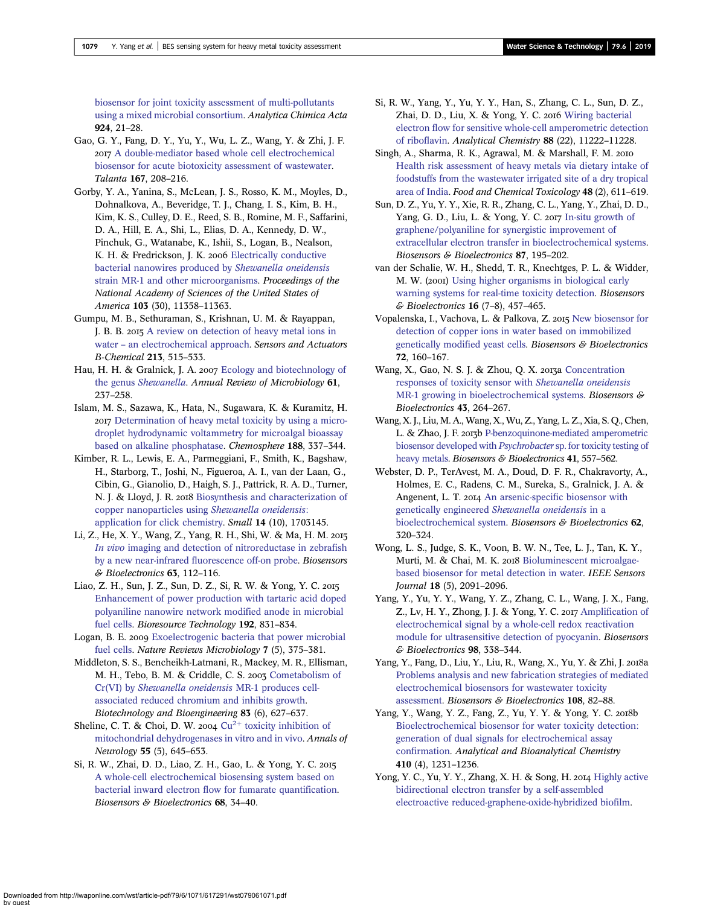<span id="page-8-0"></span>[biosensor for joint toxicity assessment of multi-pollutants](http://dx.doi.org/10.1016/j.aca.2016.04.011) [using a mixed microbial consortium](http://dx.doi.org/10.1016/j.aca.2016.04.011). Analytica Chimica Acta 924, 21–28.

- Gao, G. Y., Fang, D. Y., Yu, Y., Wu, L. Z., Wang, Y. & Zhi, J. F. [A double-mediator based whole cell electrochemical](http://dx.doi.org/10.1016/j.talanta.2017.01.081) [biosensor for acute biotoxicity assessment of wastewater](http://dx.doi.org/10.1016/j.talanta.2017.01.081). Talanta 167, 208–216.
- Gorby, Y. A., Yanina, S., McLean, J. S., Rosso, K. M., Moyles, D., Dohnalkova, A., Beveridge, T. J., Chang, I. S., Kim, B. H., Kim, K. S., Culley, D. E., Reed, S. B., Romine, M. F., Saffarini, D. A., Hill, E. A., Shi, L., Elias, D. A., Kennedy, D. W., Pinchuk, G., Watanabe, K., Ishii, S., Logan, B., Nealson, K. H. & Fredrickson, J. K. 2006 [Electrically conductive](http://dx.doi.org/10.1073/pnas.0604517103) [bacterial nanowires produced by](http://dx.doi.org/10.1073/pnas.0604517103) Shewanella oneidensis [strain MR-1 and other microorganisms.](http://dx.doi.org/10.1073/pnas.0604517103) Proceedings of the National Academy of Sciences of the United States of America 103 (30), 11358–11363.
- Gumpu, M. B., Sethuraman, S., Krishnan, U. M. & Rayappan, J. B. B. 2015 [A review on detection of heavy metal ions in](http://dx.doi.org/10.1016/j.snb.2015.02.122) water – [an electrochemical approach](http://dx.doi.org/10.1016/j.snb.2015.02.122). Sensors and Actuators B-Chemical 213, 515–533.
- Hau, H. H. & Gralnick, J. A. 2007 [Ecology and biotechnology of](http://dx.doi.org/10.1146/annurev.micro.61.080706.093257) the genus [Shewanella](http://dx.doi.org/10.1146/annurev.micro.61.080706.093257). Annual Review of Microbiology 61, 237–258.
- Islam, M. S., Sazawa, K., Hata, N., Sugawara, K. & Kuramitz, H. [Determination of heavy metal toxicity by using a micro](http://dx.doi.org/10.1016/j.chemosphere.2017.09.008)[droplet hydrodynamic voltammetry for microalgal bioassay](http://dx.doi.org/10.1016/j.chemosphere.2017.09.008) [based on alkaline phosphatase.](http://dx.doi.org/10.1016/j.chemosphere.2017.09.008) Chemosphere 188, 337–344.
- Kimber, R. L., Lewis, E. A., Parmeggiani, F., Smith, K., Bagshaw, H., Starborg, T., Joshi, N., Figueroa, A. I., van der Laan, G., Cibin, G., Gianolio, D., Haigh, S. J., Pattrick, R. A. D., Turner, N. J. & Lloyd, J. R. 2018 [Biosynthesis and characterization of](http://dx.doi.org/10.1002/smll.201703145) [copper nanoparticles using](http://dx.doi.org/10.1002/smll.201703145) Shewanella oneidensis: [application for click chemistry.](http://dx.doi.org/10.1002/smll.201703145) Small 14 (10), 1703145.
- Li, Z., He, X. Y., Wang, Z., Yang, R. H., Shi, W. & Ma, H. M. In vivo [imaging and detection of nitroreductase in zebrafish](http://dx.doi.org/10.1016/j.bios.2014.07.024) [by a new near-infrared fluorescence off-on probe](http://dx.doi.org/10.1016/j.bios.2014.07.024). Biosensors & Bioelectronics 63, 112–116.
- Liao, Z. H., Sun, J. Z., Sun, D. Z., Si, R. W. & Yong, Y. C. [Enhancement of power production with tartaric acid doped](http://dx.doi.org/10.1016/j.biortech.2015.05.105) [polyaniline nanowire network modified anode in microbial](http://dx.doi.org/10.1016/j.biortech.2015.05.105) [fuel cells](http://dx.doi.org/10.1016/j.biortech.2015.05.105). Bioresource Technology 192, 831–834.
- Logan, B. E. 2009 [Exoelectrogenic bacteria that power microbial](http://dx.doi.org/10.1038/nrmicro2113) [fuel cells](http://dx.doi.org/10.1038/nrmicro2113). Nature Reviews Microbiology 7 (5), 375–381.
- Middleton, S. S., Bencheikh-Latmani, R., Mackey, M. R., Ellisman, M. H., Tebo, B. M. & Criddle, C. S. 2003 [Cometabolism of](http://dx.doi.org/10.1002/bit.10725) Cr(VI) by [Shewanella oneidensis](http://dx.doi.org/10.1002/bit.10725) MR-1 produces cell[associated reduced chromium and inhibits growth.](http://dx.doi.org/10.1002/bit.10725) Biotechnology and Bioengineering 83 (6), 627–637.
- Sheline, C. T. & Choi, D. W. 2004  $Cu^{2+}$  [toxicity inhibition of](http://dx.doi.org/10.1002/ana.20047) [mitochondrial dehydrogenases in vitro and in vivo](http://dx.doi.org/10.1002/ana.20047). Annals of Neurology 55 (5), 645–653.
- Si, R. W., Zhai, D. D., Liao, Z. H., Gao, L. & Yong, Y. C. [A whole-cell electrochemical biosensing system based on](http://dx.doi.org/10.1016/j.bios.2014.12.035) [bacterial inward electron flow for fumarate quantification.](http://dx.doi.org/10.1016/j.bios.2014.12.035) Biosensors & Bioelectronics 68, 34–40.
- Si, R. W., Yang, Y., Yu, Y. Y., Han, S., Zhang, C. L., Sun, D. Z., Zhai, D. D., Liu, X. & Yong, Y. C. 2016 [Wiring bacterial](http://dx.doi.org/10.1021/acs.analchem.6b03538) [electron flow for sensitive whole-cell amperometric detection](http://dx.doi.org/10.1021/acs.analchem.6b03538) [of riboflavin](http://dx.doi.org/10.1021/acs.analchem.6b03538). Analytical Chemistry 88 (22), 11222–11228.
- Singh, A., Sharma, R. K., Agrawal, M. & Marshall, F. M. [Health risk assessment of heavy metals via dietary intake of](http://dx.doi.org/10.1016/j.fct.2009.11.041) [foodstuffs from the wastewater irrigated site of a dry tropical](http://dx.doi.org/10.1016/j.fct.2009.11.041) [area of India](http://dx.doi.org/10.1016/j.fct.2009.11.041). Food and Chemical Toxicology 48 (2), 611–619.
- Sun, D. Z., Yu, Y. Y., Xie, R. R., Zhang, C. L., Yang, Y., Zhai, D. D., Yang, G. D., Liu, L. & Yong, Y. C. 2017 [In-situ growth of](http://dx.doi.org/10.1016/j.bios.2016.08.037) [graphene/polyaniline for synergistic improvement of](http://dx.doi.org/10.1016/j.bios.2016.08.037) [extracellular electron transfer in bioelectrochemical systems](http://dx.doi.org/10.1016/j.bios.2016.08.037). Biosensors & Bioelectronics 87, 195–202.
- van der Schalie, W. H., Shedd, T. R., Knechtges, P. L. & Widder, M. W. (2001) [Using higher organisms in biological early](http://dx.doi.org/10.1016/S0956-5663(01)00160-9) [warning systems for real-time toxicity detection](http://dx.doi.org/10.1016/S0956-5663(01)00160-9). Biosensors & Bioelectronics 16 (7–8), 457–465.
- Vopalenska, I., Vachova, L. & Palkova, Z. 2015 [New biosensor for](http://dx.doi.org/10.1016/j.bios.2015.05.006) [detection of copper ions in water based on immobilized](http://dx.doi.org/10.1016/j.bios.2015.05.006) [genetically modified yeast cells.](http://dx.doi.org/10.1016/j.bios.2015.05.006) Biosensors & Bioelectronics 72, 160–167.
- Wang, X., Gao, N. S. J. & Zhou, Q. X. 2013a [Concentration](http://dx.doi.org/10.1016/j.bios.2012.12.029) [responses of toxicity sensor with](http://dx.doi.org/10.1016/j.bios.2012.12.029) Shewanella oneidensis [MR-1 growing in bioelectrochemical systems.](http://dx.doi.org/10.1016/j.bios.2012.12.029) Biosensors & Bioelectronics 43, 264–267.
- Wang, X. J., Liu, M. A., Wang, X., Wu, Z., Yang, L. Z., Xia, S. Q., Chen, L. & Zhao, J. F. 2013b [P-benzoquinone-mediated amperometric](http://dx.doi.org/10.1016/j.bios.2012.09.020) [biosensor developed with](http://dx.doi.org/10.1016/j.bios.2012.09.020) Psychrobacter sp. for toxicity testing of [heavy metals.](http://dx.doi.org/10.1016/j.bios.2012.09.020) Biosensors & Bioelectronics 41, 557-562.
- Webster, D. P., TerAvest, M. A., Doud, D. F. R., Chakravorty, A., Holmes, E. C., Radens, C. M., Sureka, S., Gralnick, J. A. & Angenent, L. T. 2014 [An arsenic-specific biosensor with](http://dx.doi.org/10.1016/j.bios.2014.07.003) genetically engineered [Shewanella oneidensis](http://dx.doi.org/10.1016/j.bios.2014.07.003) in a [bioelectrochemical system.](http://dx.doi.org/10.1016/j.bios.2014.07.003) Biosensors & Bioelectronics 62, 320–324.
- Wong, L. S., Judge, S. K., Voon, B. W. N., Tee, L. J., Tan, K. Y., Murti, M. & Chai, M. K. 2018 [Bioluminescent microalgae](http://dx.doi.org/10.1109/JSEN.2017.2787786)[based biosensor for metal detection in water](http://dx.doi.org/10.1109/JSEN.2017.2787786). IEEE Sensors Journal 18 (5), 2091–2096.
- Yang, Y., Yu, Y. Y., Wang, Y. Z., Zhang, C. L., Wang, J. X., Fang, Z., Lv, H. Y., Zhong, J. J. & Yong, Y. C. 2017 [Amplification of](http://dx.doi.org/10.1016/j.bios.2017.07.008) [electrochemical signal by a whole-cell redox reactivation](http://dx.doi.org/10.1016/j.bios.2017.07.008) [module for ultrasensitive detection of pyocyanin.](http://dx.doi.org/10.1016/j.bios.2017.07.008) Biosensors & Bioelectronics 98, 338–344.
- Yang, Y., Fang, D., Liu, Y., Liu, R., Wang, X., Yu, Y. & Zhi, J. a [Problems analysis and new fabrication strategies of mediated](http://dx.doi.org/10.1016/j.bios.2018.02.049) [electrochemical biosensors for wastewater toxicity](http://dx.doi.org/10.1016/j.bios.2018.02.049) [assessment.](http://dx.doi.org/10.1016/j.bios.2018.02.049) Biosensors & Bioelectronics 108, 82–88.
- Yang, Y., Wang, Y. Z., Fang, Z., Yu, Y. Y. & Yong, Y. C. 2018b [Bioelectrochemical biosensor for water toxicity detection:](http://dx.doi.org/10.1007/s00216-017-0656-4) [generation of dual signals for electrochemical assay](http://dx.doi.org/10.1007/s00216-017-0656-4) [confirmation.](http://dx.doi.org/10.1007/s00216-017-0656-4) Analytical and Bioanalytical Chemistry 410 (4), 1231–1236.
- Yong, Y. C., Yu, Y. Y., Zhang, X. H. & Song, H. 2014 [Highly active](http://dx.doi.org/10.1002/anie.201400463) [bidirectional electron transfer by a self-assembled](http://dx.doi.org/10.1002/anie.201400463) [electroactive reduced-graphene-oxide-hybridized biofilm](http://dx.doi.org/10.1002/anie.201400463).